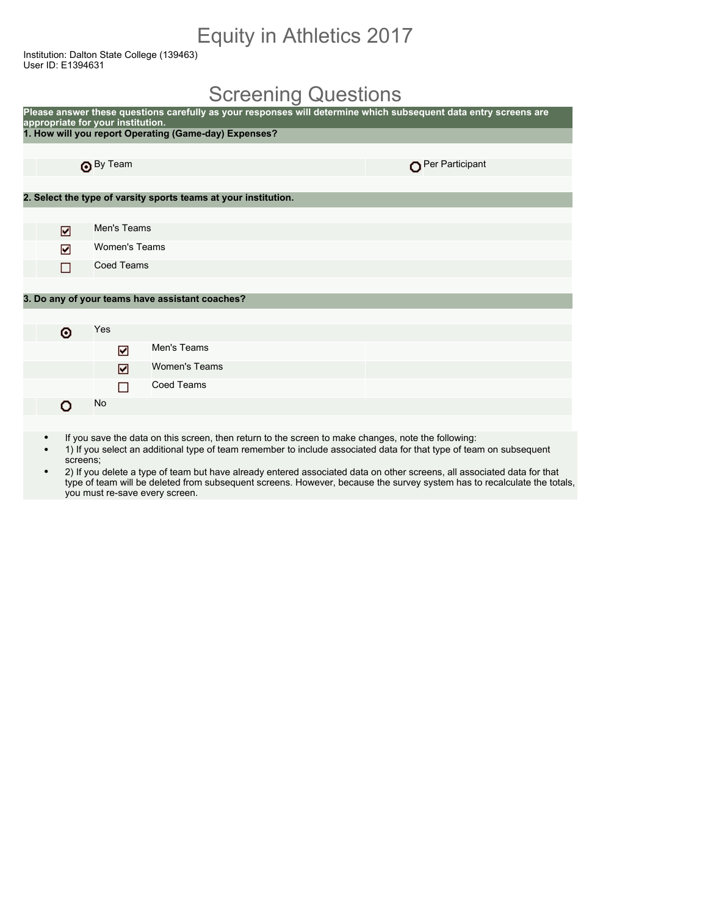## Equity in Athletics 2017

Institution: Dalton State College (139463) User ID: E1394631

### Screening Questions

| appropriate for your institution. |                   | Please answer these questions carefully as your responses will determine which subsequent data entry screens are |                 |
|-----------------------------------|-------------------|------------------------------------------------------------------------------------------------------------------|-----------------|
|                                   |                   | 1. How will you report Operating (Game-day) Expenses?                                                            |                 |
|                                   |                   |                                                                                                                  |                 |
|                                   | O By Team         |                                                                                                                  | Per Participant |
|                                   |                   |                                                                                                                  |                 |
|                                   |                   | 2. Select the type of varsity sports teams at your institution.                                                  |                 |
|                                   |                   |                                                                                                                  |                 |
| ☑                                 | Men's Teams       |                                                                                                                  |                 |
| ☑                                 | Women's Teams     |                                                                                                                  |                 |
| П                                 | <b>Coed Teams</b> |                                                                                                                  |                 |
|                                   |                   |                                                                                                                  |                 |
|                                   |                   | 3. Do any of your teams have assistant coaches?                                                                  |                 |
|                                   |                   |                                                                                                                  |                 |
| ۰                                 | Yes               |                                                                                                                  |                 |
|                                   | ☑                 | Men's Teams                                                                                                      |                 |
|                                   | ☑                 | <b>Women's Teams</b>                                                                                             |                 |
|                                   | П                 | <b>Coed Teams</b>                                                                                                |                 |
| n                                 | No                |                                                                                                                  |                 |
|                                   |                   |                                                                                                                  |                 |

- If you save the data on this screen, then return to the screen to make changes, note the following:
- 1) If you select an additional type of team remember to include associated data for that type of team on subsequent screens;
- 2) If you delete a type of team but have already entered associated data on other screens, all associated data for that type of team will be deleted from subsequent screens. However, because the survey system has to recalculate the totals, you must re-save every screen.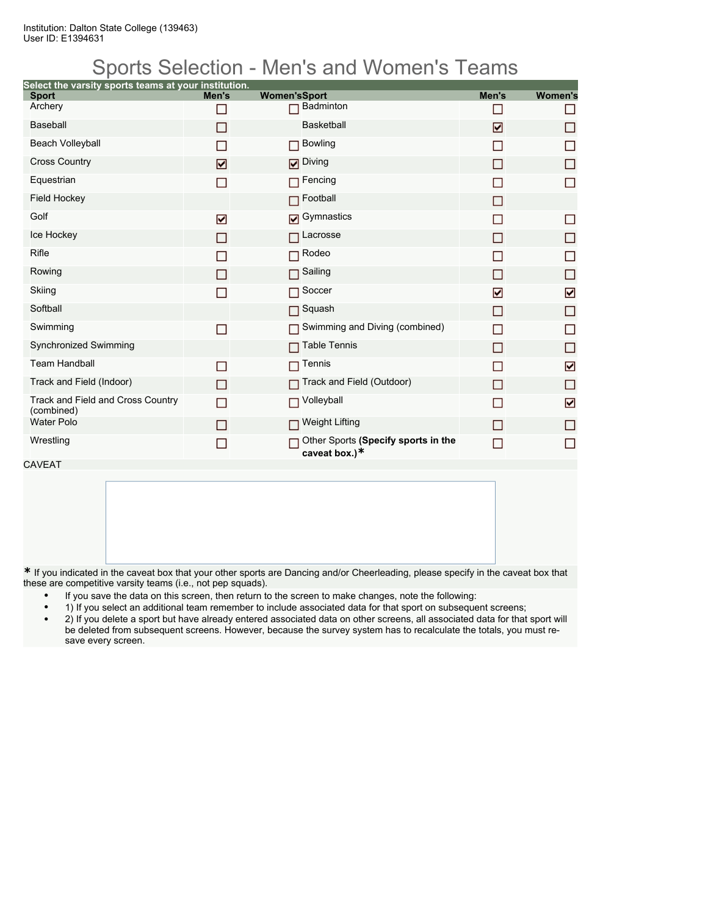## Sports Selection - Men's and Women's Teams

| Select the varsity sports teams at your institution. |                |                                                         |                |                |
|------------------------------------------------------|----------------|---------------------------------------------------------|----------------|----------------|
| <b>Sport</b>                                         | Men's          | <b>Women'sSport</b>                                     | Men's          | <b>Women's</b> |
| Archery                                              |                | <b>Badminton</b>                                        |                | П              |
| <b>Baseball</b>                                      | П              | <b>Basketball</b>                                       | ☑              | П              |
| Beach Volleyball                                     |                | <b>Bowling</b>                                          |                | П              |
| <b>Cross Country</b>                                 | ☑              | Diving                                                  | ΙI             | □              |
| Equestrian                                           | П              | Fencing                                                 |                | $\Box$         |
| <b>Field Hockey</b>                                  |                | Football                                                | П              |                |
| Golf                                                 | ☑              | <b>D</b> Gymnastics                                     |                | П              |
| Ice Hockey                                           | H              | Lacrosse                                                | n              | □              |
| Rifle                                                |                | Rodeo                                                   |                | П              |
| Rowing                                               | ш              | Sailing<br>П                                            | П              | □              |
| Skiing                                               | П              | Soccer                                                  | ☑              | ☑              |
| Softball                                             |                | Squash<br>П                                             | П              | $\Box$         |
| Swimming                                             | ▛              | Swimming and Diving (combined)                          | $\blacksquare$ | □              |
| Synchronized Swimming                                |                | <b>Table Tennis</b>                                     | П              | $\Box$         |
| <b>Team Handball</b>                                 | $\blacksquare$ | Tennis                                                  |                | ☑              |
| Track and Field (Indoor)                             | П              | Track and Field (Outdoor)                               | П              | $\Box$         |
| Track and Field and Cross Country<br>(combined)      | П              | Volleyball<br>п                                         | П              | ☑              |
| <b>Water Polo</b>                                    | П              | <b>Weight Lifting</b><br>П                              |                | П              |
| Wrestling                                            | П              | Other Sports (Specify sports in the<br>caveat box.) $*$ | <b>Talent</b>  | П              |

CAVEAT

**\*** If you indicated in the caveat box that your other sports are Dancing and/or Cheerleading, please specify in the caveat box that these are competitive varsity teams (i.e., not pep squads).

- If you save the data on this screen, then return to the screen to make changes, note the following:
- 1) If you select an additional team remember to include associated data for that sport on subsequent screens;
- 2) If you delete a sport but have already entered associated data on other screens, all associated data for that sport will be deleted from subsequent screens. However, because the survey system has to recalculate the totals, you must resave every screen.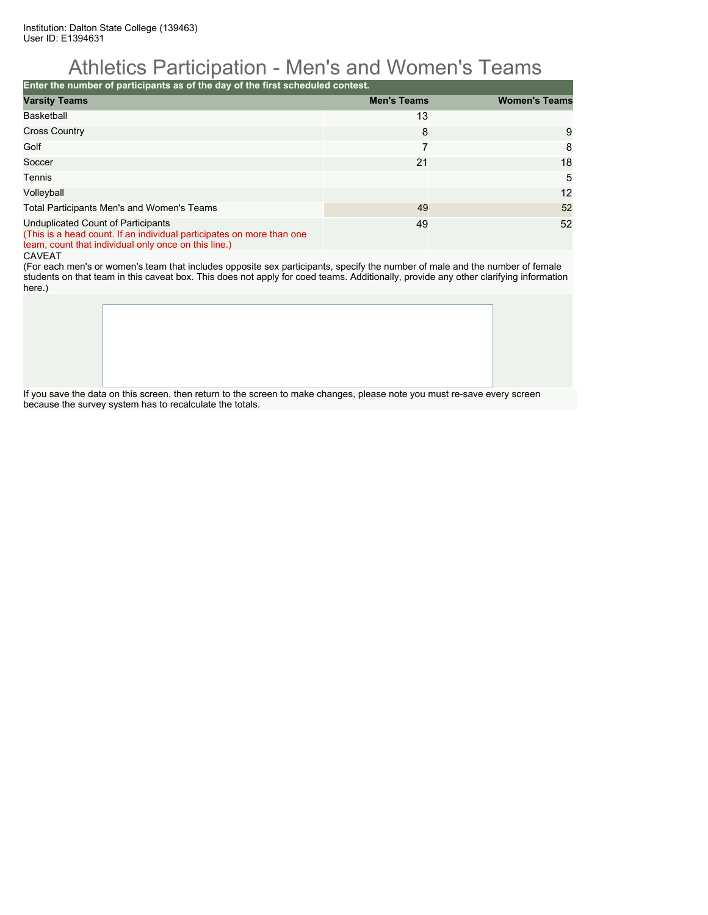## Athletics Participation - Men's and Women's Teams

**Enter the number of participants as of the day of the first scheduled contest.**

| <b>Varsity Teams</b>                                                                                                                                                       | <b>Men's Teams</b> | <b>Women's Teams</b> |
|----------------------------------------------------------------------------------------------------------------------------------------------------------------------------|--------------------|----------------------|
| <b>Basketball</b>                                                                                                                                                          | 13                 |                      |
| <b>Cross Country</b>                                                                                                                                                       | 8                  | 9                    |
| Golf                                                                                                                                                                       |                    | 8                    |
| Soccer                                                                                                                                                                     | 21                 | 18                   |
| Tennis                                                                                                                                                                     |                    | 5                    |
| Volleyball                                                                                                                                                                 |                    | 12                   |
| Total Participants Men's and Women's Teams                                                                                                                                 | 49                 | 52                   |
| <b>Unduplicated Count of Participants</b><br>(This is a head count. If an individual participates on more than one<br>team, count that individual only once on this line.) | 49                 | 52                   |

CAVEAT

(For each men's or women's team that includes opposite sex participants, specify the number of male and the number of female students on that team in this caveat box. This does not apply for coed teams. Additionally, provide any other clarifying information here.)

If you save the data on this screen, then return to the screen to make changes, please note you must re-save every screen because the survey system has to recalculate the totals.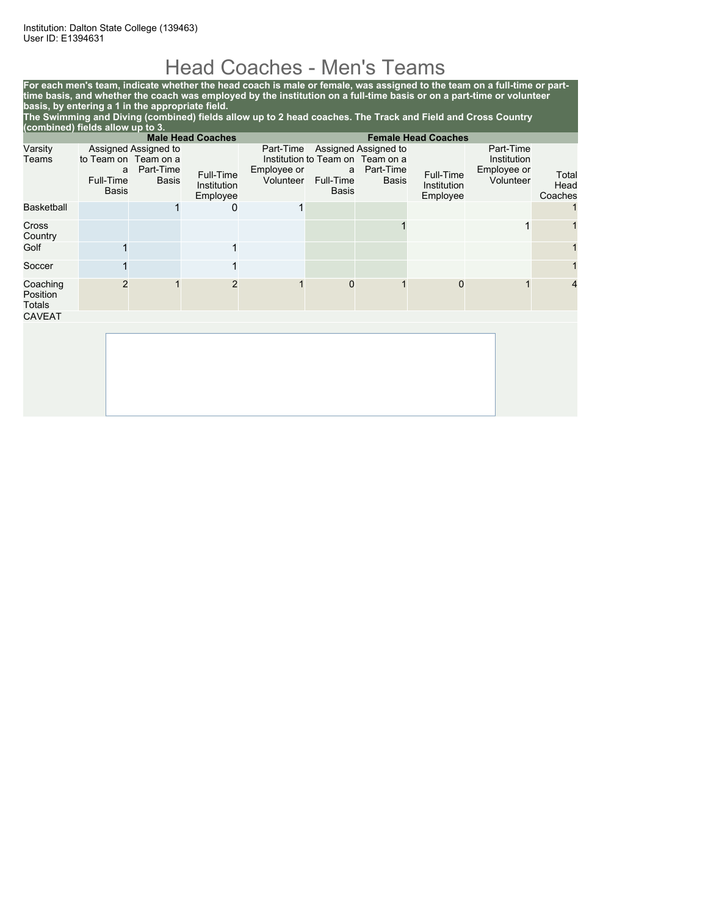## Head Coaches - Men's Teams

**For each men's team, indicate whether the head coach is male or female, was assigned to the team on a full-time or parttime basis, and whether the coach was employed by the institution on a full-time basis or on a part-time or volunteer basis, by entering a 1 in the appropriate field.**

**The Swimming and Diving (combined) fields allow up to 2 head coaches. The Track and Field and Cross Country (combined) fields allow up to 3.**

|                                | <b>Male Head Coaches</b><br><b>Female Head Coaches</b> |                                                                           |                                      |                                       |                                |                                                                                |                                      |                                                      |                          |
|--------------------------------|--------------------------------------------------------|---------------------------------------------------------------------------|--------------------------------------|---------------------------------------|--------------------------------|--------------------------------------------------------------------------------|--------------------------------------|------------------------------------------------------|--------------------------|
| Varsity<br>Teams               | a<br>Full-Time<br><b>Basis</b>                         | Assigned Assigned to<br>to Team on Team on a<br>Part-Time<br><b>Basis</b> | Full-Time<br>Institution<br>Employee | Part-Time<br>Employee or<br>Volunteer | a<br>Full-Time<br><b>Basis</b> | Assigned Assigned to<br>Institution to Team on Team on a<br>Part-Time<br>Basis | Full-Time<br>Institution<br>Employee | Part-Time<br>Institution<br>Employee or<br>Volunteer | Total<br>Head<br>Coaches |
| <b>Basketball</b>              |                                                        |                                                                           | 0                                    | 1                                     |                                |                                                                                |                                      |                                                      |                          |
| Cross<br>Country               |                                                        |                                                                           |                                      |                                       |                                |                                                                                |                                      |                                                      |                          |
| Golf                           |                                                        |                                                                           | 1                                    |                                       |                                |                                                                                |                                      |                                                      |                          |
| Soccer                         |                                                        |                                                                           |                                      |                                       |                                |                                                                                |                                      |                                                      |                          |
| Coaching<br>Position<br>Totals | $\mathfrak{p}$                                         |                                                                           | $\overline{2}$                       |                                       | $\mathbf 0$                    |                                                                                | 0                                    |                                                      | $\overline{4}$           |
| <b>CAVEAT</b>                  |                                                        |                                                                           |                                      |                                       |                                |                                                                                |                                      |                                                      |                          |
|                                |                                                        |                                                                           |                                      |                                       |                                |                                                                                |                                      |                                                      |                          |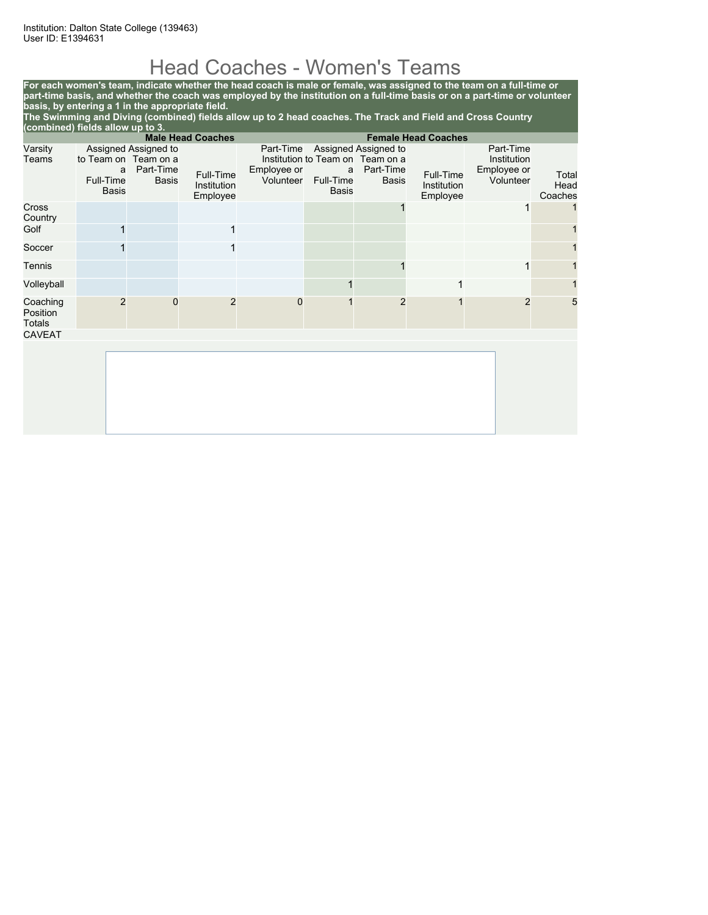# Head Coaches - Women's Teams

**For each women's team, indicate whether the head coach is male or female, was assigned to the team on a full-time or part-time basis, and whether the coach was employed by the institution on a full-time basis or on a part-time or volunteer basis, by entering a 1 in the appropriate field.**

**The Swimming and Diving (combined) fields allow up to 2 head coaches. The Track and Field and Cross Country (combined) fields allow up to 3.**

|                                       |                                                 |                                                   | <b>Male Head Coaches</b>             |                                       | <b>Female Head Coaches</b> |                                                                                       |                                      |                                                      |                          |
|---------------------------------------|-------------------------------------------------|---------------------------------------------------|--------------------------------------|---------------------------------------|----------------------------|---------------------------------------------------------------------------------------|--------------------------------------|------------------------------------------------------|--------------------------|
| Varsity<br>Teams                      | to Team on Team on a<br>a<br>Full-Time<br>Basis | Assigned Assigned to<br>Part-Time<br><b>Basis</b> | Full-Time<br>Institution<br>Employee | Part-Time<br>Employee or<br>Volunteer | a<br>Full-Time<br>Basis    | Assigned Assigned to<br>Institution to Team on Team on a<br>Part-Time<br><b>Basis</b> | Full-Time<br>Institution<br>Employee | Part-Time<br>Institution<br>Employee or<br>Volunteer | Total<br>Head<br>Coaches |
| Cross<br>Country                      |                                                 |                                                   |                                      |                                       |                            |                                                                                       |                                      | 1                                                    |                          |
| Golf                                  |                                                 |                                                   |                                      |                                       |                            |                                                                                       |                                      |                                                      |                          |
| Soccer                                |                                                 |                                                   |                                      |                                       |                            |                                                                                       |                                      |                                                      |                          |
| Tennis                                |                                                 |                                                   |                                      |                                       |                            |                                                                                       |                                      |                                                      |                          |
| Volleyball                            |                                                 |                                                   |                                      |                                       |                            |                                                                                       |                                      |                                                      |                          |
| Coaching<br>Position<br><b>Totals</b> | $\overline{2}$                                  | $\mathbf 0$                                       | $\overline{2}$                       | $\mathbf 0$                           |                            | $\overline{2}$                                                                        |                                      | $\overline{2}$                                       | 5                        |
| <b>CAVEAT</b>                         |                                                 |                                                   |                                      |                                       |                            |                                                                                       |                                      |                                                      |                          |
|                                       |                                                 |                                                   |                                      |                                       |                            |                                                                                       |                                      |                                                      |                          |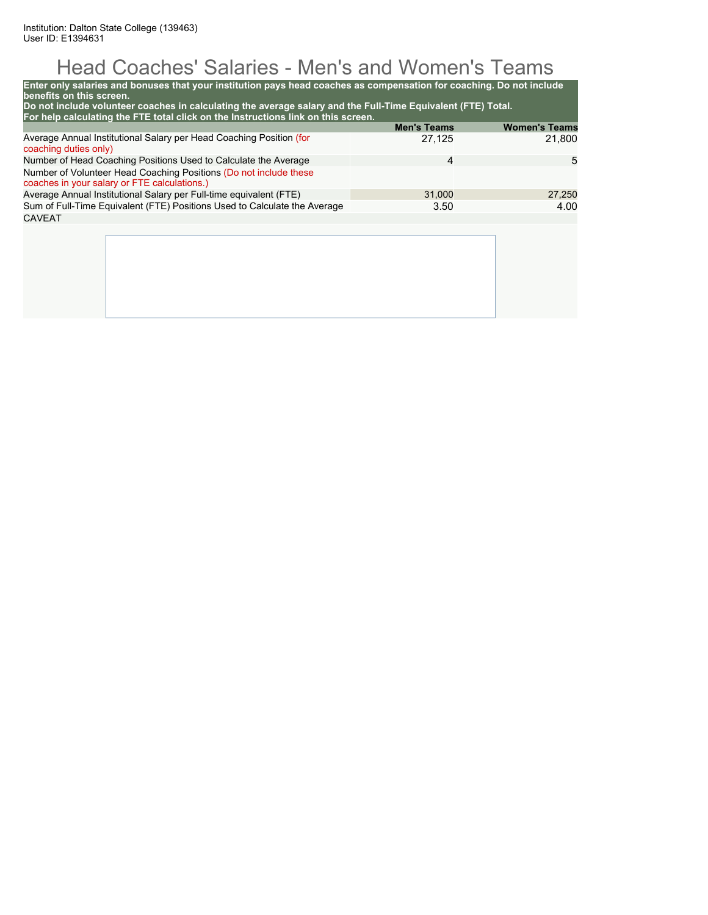# Head Coaches' Salaries - Men's and Women's Teams

| Enter only salaries and bonuses that your institution pays head coaches as compensation for coaching. Do not include<br>benefits on this screen.<br>Do not include volunteer coaches in calculating the average salary and the Full-Time Equivalent (FTE) Total.<br>For help calculating the FTE total click on the Instructions link on this screen. |                    |                      |
|-------------------------------------------------------------------------------------------------------------------------------------------------------------------------------------------------------------------------------------------------------------------------------------------------------------------------------------------------------|--------------------|----------------------|
|                                                                                                                                                                                                                                                                                                                                                       | <b>Men's Teams</b> | <b>Women's Teams</b> |
| Average Annual Institutional Salary per Head Coaching Position (for<br>coaching duties only)                                                                                                                                                                                                                                                          | 27.125             | 21.800               |
| Number of Head Coaching Positions Used to Calculate the Average                                                                                                                                                                                                                                                                                       | 4                  | 5                    |
| Number of Volunteer Head Coaching Positions (Do not include these<br>coaches in your salary or FTE calculations.)                                                                                                                                                                                                                                     |                    |                      |
| Average Annual Institutional Salary per Full-time equivalent (FTE)                                                                                                                                                                                                                                                                                    | 31,000             | 27,250               |
| Sum of Full-Time Equivalent (FTE) Positions Used to Calculate the Average                                                                                                                                                                                                                                                                             | 3.50               | 4.00                 |
| <b>CAVEAT</b>                                                                                                                                                                                                                                                                                                                                         |                    |                      |
|                                                                                                                                                                                                                                                                                                                                                       |                    |                      |
|                                                                                                                                                                                                                                                                                                                                                       |                    |                      |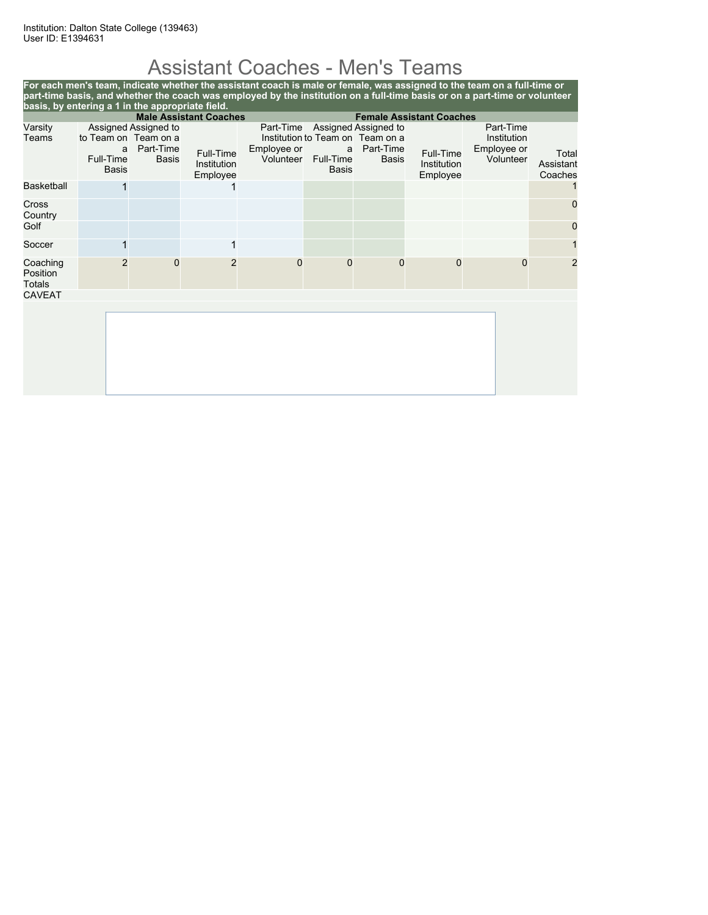# Assistant Coaches - Men's Teams

| For each men's team, indicate whether the assistant coach is male or female, was assigned to the team on a full-time or<br>part-time basis, and whether the coach was employed by the institution on a full-time basis or on a part-time or volunteer<br>basis, by entering a 1 in the appropriate field. |                                                        |                                                   |                                      |                                       |                                |                                                                                       |                                      |                                                      |                               |
|-----------------------------------------------------------------------------------------------------------------------------------------------------------------------------------------------------------------------------------------------------------------------------------------------------------|--------------------------------------------------------|---------------------------------------------------|--------------------------------------|---------------------------------------|--------------------------------|---------------------------------------------------------------------------------------|--------------------------------------|------------------------------------------------------|-------------------------------|
| <b>Male Assistant Coaches</b><br><b>Female Assistant Coaches</b>                                                                                                                                                                                                                                          |                                                        |                                                   |                                      |                                       |                                |                                                                                       |                                      |                                                      |                               |
| Varsity<br>Teams                                                                                                                                                                                                                                                                                          | to Team on Team on a<br>a<br>Full-Time<br><b>Basis</b> | Assigned Assigned to<br>Part-Time<br><b>Basis</b> | Full-Time<br>Institution<br>Employee | Part-Time<br>Employee or<br>Volunteer | a<br>Full-Time<br><b>Basis</b> | Assigned Assigned to<br>Institution to Team on Team on a<br>Part-Time<br><b>Basis</b> | Full-Time<br>Institution<br>Employee | Part-Time<br>Institution<br>Employee or<br>Volunteer | Total<br>Assistant<br>Coaches |
| <b>Basketball</b>                                                                                                                                                                                                                                                                                         |                                                        |                                                   |                                      |                                       |                                |                                                                                       |                                      |                                                      |                               |
| Cross<br>Country                                                                                                                                                                                                                                                                                          |                                                        |                                                   |                                      |                                       |                                |                                                                                       |                                      |                                                      | 0                             |
| Golf                                                                                                                                                                                                                                                                                                      |                                                        |                                                   |                                      |                                       |                                |                                                                                       |                                      |                                                      | $\Omega$                      |
| Soccer                                                                                                                                                                                                                                                                                                    |                                                        |                                                   | 1                                    |                                       |                                |                                                                                       |                                      |                                                      |                               |
| Coaching<br>Position<br><b>Totals</b>                                                                                                                                                                                                                                                                     | $\overline{2}$                                         | <sup>0</sup>                                      | $\overline{2}$                       | $\Omega$                              | 0                              | $\Omega$                                                                              | $\Omega$                             | $\mathbf{0}$                                         | 2                             |
| <b>CAVEAT</b>                                                                                                                                                                                                                                                                                             |                                                        |                                                   |                                      |                                       |                                |                                                                                       |                                      |                                                      |                               |
|                                                                                                                                                                                                                                                                                                           |                                                        |                                                   |                                      |                                       |                                |                                                                                       |                                      |                                                      |                               |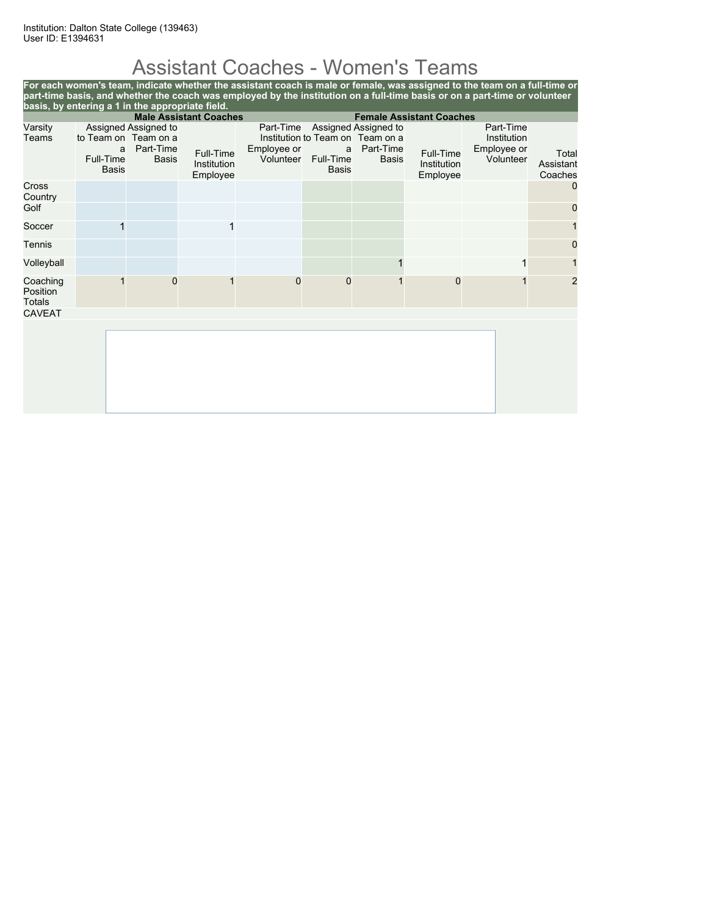# Assistant Coaches - Women's Teams

|                                                                  | basis, by entering a 1 in the appropriate field.       |                                                   |                                      |                                       |                         |                                                                                       |                                      | For each women's team, indicate whether the assistant coach is male or female, was assigned to the team on a full-time or<br>part-time basis, and whether the coach was employed by the institution on a full-time basis or on a part-time or volunteer |                               |
|------------------------------------------------------------------|--------------------------------------------------------|---------------------------------------------------|--------------------------------------|---------------------------------------|-------------------------|---------------------------------------------------------------------------------------|--------------------------------------|---------------------------------------------------------------------------------------------------------------------------------------------------------------------------------------------------------------------------------------------------------|-------------------------------|
| <b>Male Assistant Coaches</b><br><b>Female Assistant Coaches</b> |                                                        |                                                   |                                      |                                       |                         |                                                                                       |                                      |                                                                                                                                                                                                                                                         |                               |
| Varsity<br>Teams                                                 | to Team on Team on a<br>a<br>Full-Time<br><b>Basis</b> | Assigned Assigned to<br>Part-Time<br><b>Basis</b> | Full-Time<br>Institution<br>Employee | Part-Time<br>Employee or<br>Volunteer | a<br>Full-Time<br>Basis | Assigned Assigned to<br>Institution to Team on Team on a<br>Part-Time<br><b>Basis</b> | Full-Time<br>Institution<br>Employee | Part-Time<br>Institution<br>Employee or<br>Volunteer                                                                                                                                                                                                    | Total<br>Assistant<br>Coaches |
| Cross<br>Country                                                 |                                                        |                                                   |                                      |                                       |                         |                                                                                       |                                      |                                                                                                                                                                                                                                                         | $\Omega$                      |
| Golf                                                             |                                                        |                                                   |                                      |                                       |                         |                                                                                       |                                      |                                                                                                                                                                                                                                                         | 0                             |
| Soccer                                                           |                                                        |                                                   |                                      |                                       |                         |                                                                                       |                                      |                                                                                                                                                                                                                                                         |                               |
| Tennis                                                           |                                                        |                                                   |                                      |                                       |                         |                                                                                       |                                      |                                                                                                                                                                                                                                                         | 0                             |
| Volleyball                                                       |                                                        |                                                   |                                      |                                       |                         |                                                                                       |                                      |                                                                                                                                                                                                                                                         |                               |
| Coaching<br>Position<br>Totals                                   |                                                        | 0                                                 |                                      | 0                                     | $\Omega$                |                                                                                       | 0                                    |                                                                                                                                                                                                                                                         | $\overline{2}$                |
| <b>CAVEAT</b>                                                    |                                                        |                                                   |                                      |                                       |                         |                                                                                       |                                      |                                                                                                                                                                                                                                                         |                               |
|                                                                  |                                                        |                                                   |                                      |                                       |                         |                                                                                       |                                      |                                                                                                                                                                                                                                                         |                               |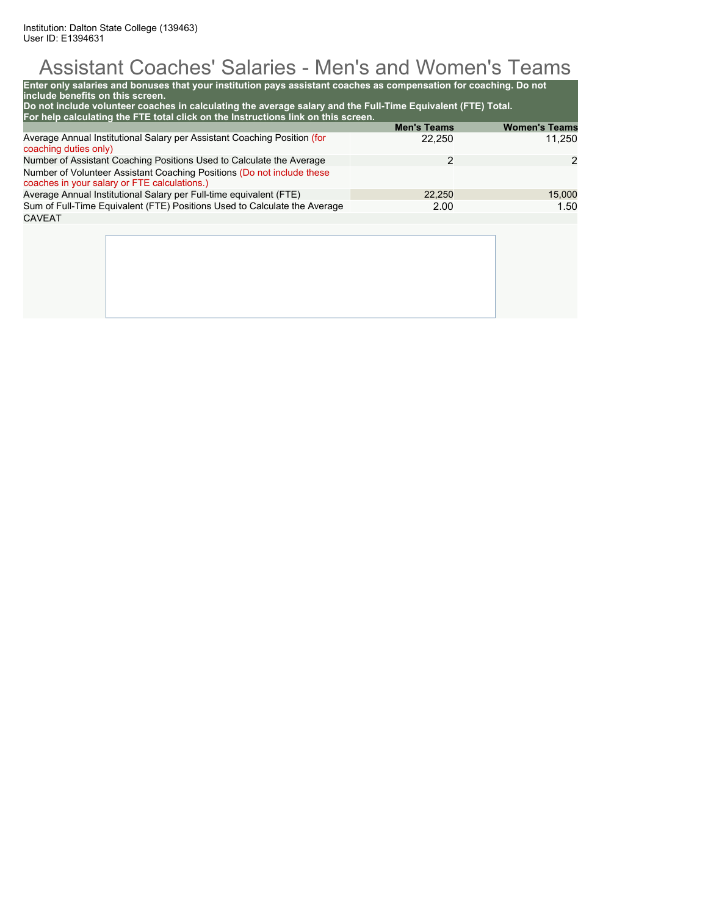# Assistant Coaches' Salaries - Men's and Women's Teams

| include benefits on this screen.<br>Do not include volunteer coaches in calculating the average salary and the Full-Time Equivalent (FTE) Total.<br>For help calculating the FTE total click on the Instructions link on this screen. | <b>Men's Teams</b> | <b>Women's Teams</b> |
|---------------------------------------------------------------------------------------------------------------------------------------------------------------------------------------------------------------------------------------|--------------------|----------------------|
| Average Annual Institutional Salary per Assistant Coaching Position (for<br>coaching duties only)                                                                                                                                     | 22,250             | 11,250               |
| Number of Assistant Coaching Positions Used to Calculate the Average                                                                                                                                                                  | 2                  | 2                    |
| Number of Volunteer Assistant Coaching Positions (Do not include these<br>coaches in your salary or FTE calculations.)                                                                                                                |                    |                      |
| Average Annual Institutional Salary per Full-time equivalent (FTE)                                                                                                                                                                    | 22,250             | 15,000               |
| Sum of Full-Time Equivalent (FTE) Positions Used to Calculate the Average                                                                                                                                                             | 2.00               | 1.50                 |
| <b>CAVEAT</b>                                                                                                                                                                                                                         |                    |                      |
|                                                                                                                                                                                                                                       |                    |                      |
|                                                                                                                                                                                                                                       |                    |                      |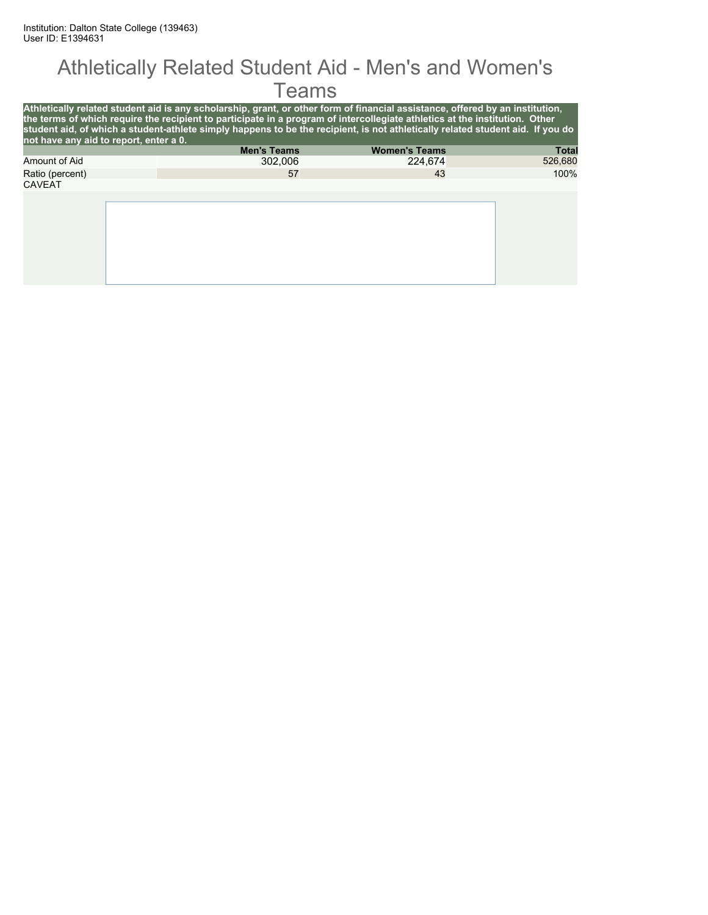#### Athletically Related Student Aid - Men's and Women's **Teams**

| not have any aid to report, enter a 0. | Athletically related student aid is any scholarship, grant, or other form of financial assistance, offered by an institution,<br>the terms of which require the recipient to participate in a program of intercollegiate athletics at the institution. Other<br>student aid, of which a student-athlete simply happens to be the recipient, is not athletically related student aid. If you do |                      |              |
|----------------------------------------|------------------------------------------------------------------------------------------------------------------------------------------------------------------------------------------------------------------------------------------------------------------------------------------------------------------------------------------------------------------------------------------------|----------------------|--------------|
|                                        | <b>Men's Teams</b>                                                                                                                                                                                                                                                                                                                                                                             | <b>Women's Teams</b> | <b>Total</b> |
| Amount of Aid                          | 302.006                                                                                                                                                                                                                                                                                                                                                                                        | 224.674              | 526,680      |
| Ratio (percent)                        | 57                                                                                                                                                                                                                                                                                                                                                                                             | 43                   | 100%         |
| <b>CAVEAT</b>                          |                                                                                                                                                                                                                                                                                                                                                                                                |                      |              |
|                                        |                                                                                                                                                                                                                                                                                                                                                                                                |                      |              |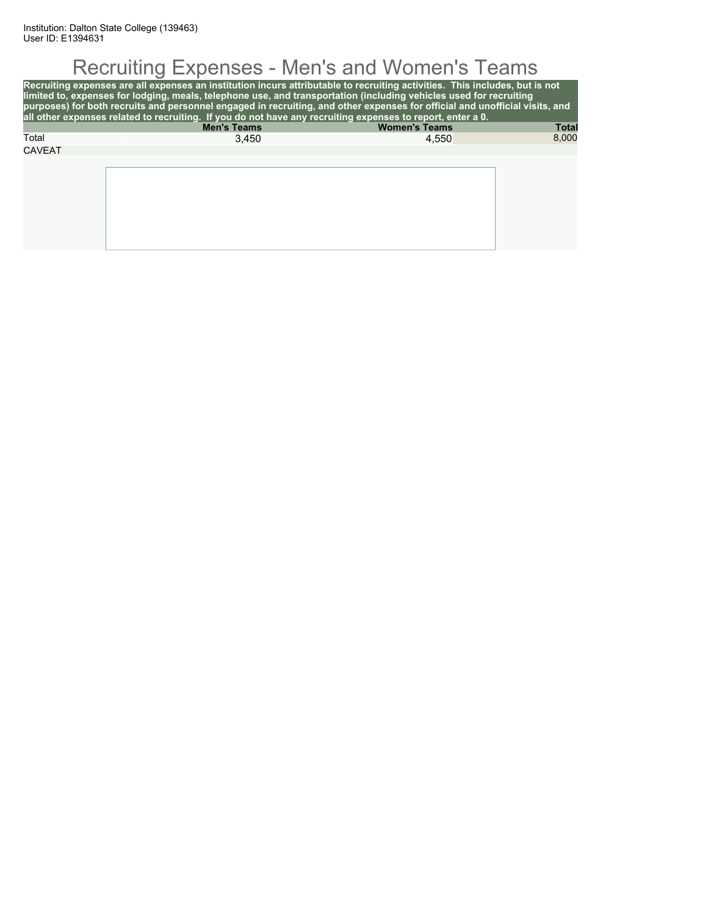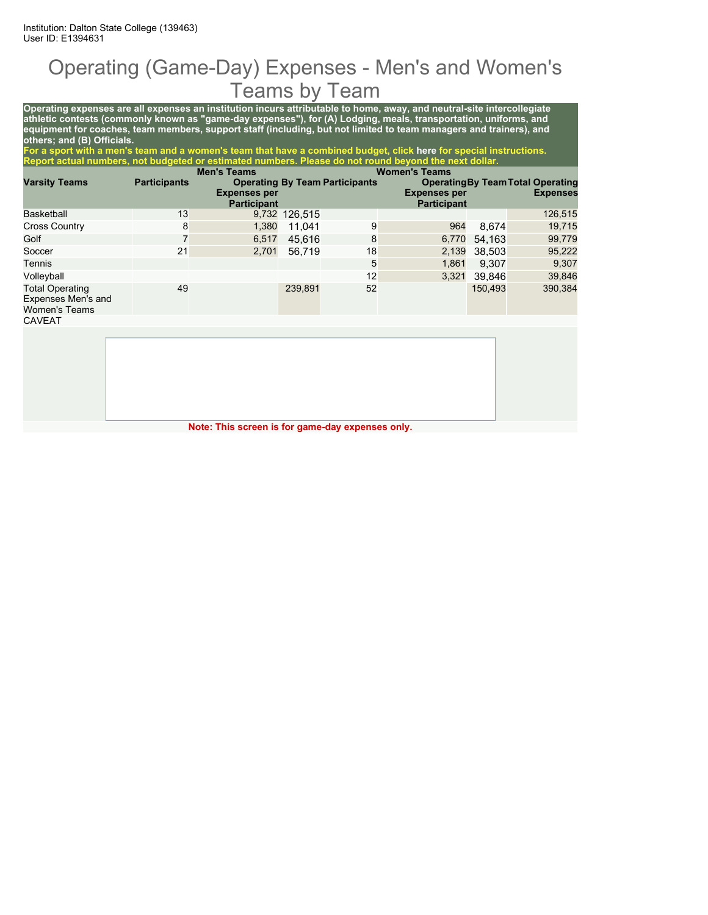### Operating (Game-Day) Expenses - Men's and Women's Teams by Team

**Operating expenses are all expenses an institution incurs attributable to home, away, and neutral-site intercollegiate athletic contests (commonly known as "game-day expenses"), for (A) Lodging, meals, transportation, uniforms, and equipment for coaches, team members, support staff (including, but not limited to team managers and trainers), and others; and (B) Officials.**

**For a sport with a men's team and a women's team that have a combined budget, click here for special instructions. Report actual numbers, not budgeted or estimated numbers. Please do not round beyond the next dollar.**

|                                                                      |                     | <b>Men's Teams</b>                        |               |                                       | <b>Women's Teams</b>                      |         |                                                             |
|----------------------------------------------------------------------|---------------------|-------------------------------------------|---------------|---------------------------------------|-------------------------------------------|---------|-------------------------------------------------------------|
| <b>Varsity Teams</b>                                                 | <b>Participants</b> | <b>Expenses per</b><br><b>Participant</b> |               | <b>Operating By Team Participants</b> | <b>Expenses per</b><br><b>Participant</b> |         | <b>Operating By Team Total Operating</b><br><b>Expenses</b> |
| Basketball                                                           | 13                  |                                           | 9,732 126,515 |                                       |                                           |         | 126,515                                                     |
| <b>Cross Country</b>                                                 | 8                   | 1,380                                     | 11.041        | 9                                     | 964                                       | 8.674   | 19,715                                                      |
| Golf                                                                 |                     | 6,517                                     | 45.616        | 8                                     | 6,770                                     | 54.163  | 99,779                                                      |
| Soccer                                                               | 21                  | 2,701                                     | 56,719        | 18                                    | 2,139                                     | 38,503  | 95,222                                                      |
| Tennis                                                               |                     |                                           |               | 5                                     | 1,861                                     | 9.307   | 9,307                                                       |
| Volleyball                                                           |                     |                                           |               | 12                                    | 3,321                                     | 39.846  | 39,846                                                      |
| <b>Total Operating</b><br>Expenses Men's and<br><b>Women's Teams</b> | 49                  |                                           | 239,891       | 52                                    |                                           | 150,493 | 390,384                                                     |
| <b>CAVEAT</b>                                                        |                     |                                           |               |                                       |                                           |         |                                                             |

**Note: This screen is for game-day expenses only.**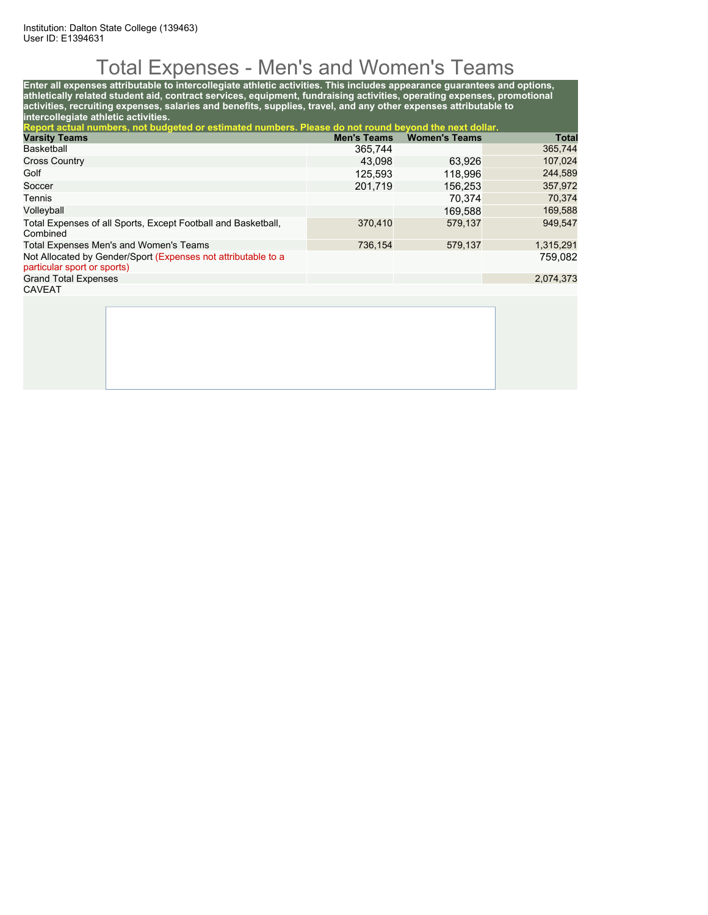## Total Expenses - Men's and Women's Teams

**Enter all expenses attributable to intercollegiate athletic activities. This includes appearance guarantees and options, athletically related student aid, contract services, equipment, fundraising activities, operating expenses, promotional activities, recruiting expenses, salaries and benefits, supplies, travel, and any other expenses attributable to intercollegiate athletic activities.**

| Report actual numbers, not budgeted or estimated numbers. Please do not round beyond the next dollar. |                    |                      |              |
|-------------------------------------------------------------------------------------------------------|--------------------|----------------------|--------------|
| <b>Varsity Teams</b>                                                                                  | <b>Men's Teams</b> | <b>Women's Teams</b> | <b>Total</b> |
| Basketball                                                                                            | 365,744            |                      | 365,744      |
| <b>Cross Country</b>                                                                                  | 43.098             | 63,926               | 107,024      |
| Golf                                                                                                  | 125.593            | 118.996              | 244,589      |
| Soccer                                                                                                | 201.719            | 156.253              | 357,972      |
| Tennis                                                                                                |                    | 70.374               | 70,374       |
| Volleyball                                                                                            |                    | 169.588              | 169,588      |
| Total Expenses of all Sports, Except Football and Basketball,<br>Combined                             | 370,410            | 579,137              | 949.547      |
| Total Expenses Men's and Women's Teams                                                                | 736,154            | 579,137              | 1,315,291    |
| Not Allocated by Gender/Sport (Expenses not attributable to a<br>particular sport or sports)          |                    |                      | 759,082      |
| <b>Grand Total Expenses</b>                                                                           |                    |                      | 2,074,373    |
| <b>CAVEAT</b>                                                                                         |                    |                      |              |
|                                                                                                       |                    |                      |              |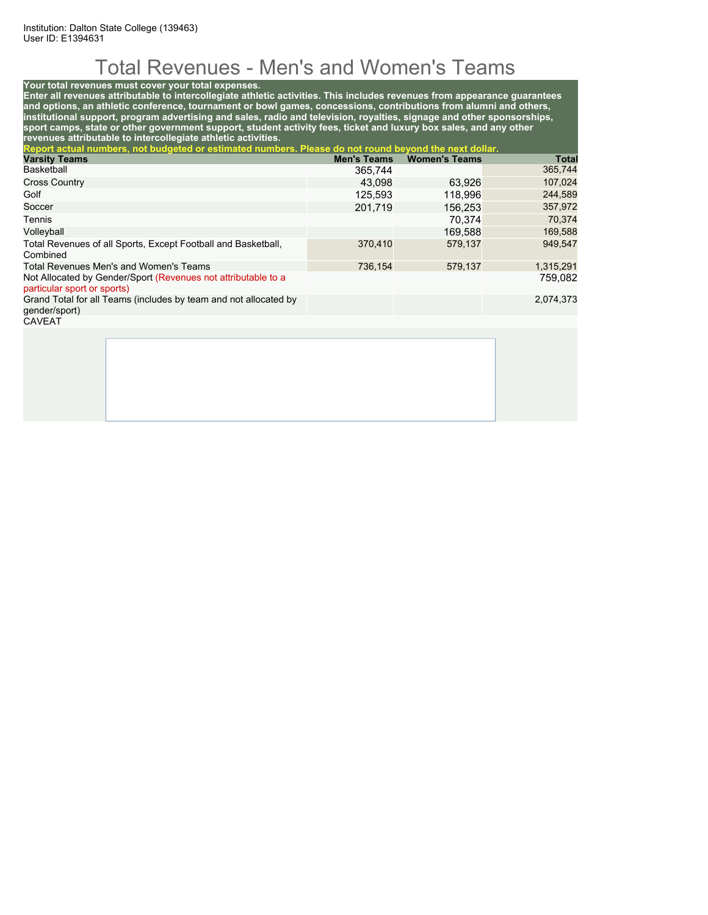## Total Revenues - Men's and Women's Teams

#### **Your total revenues must cover your total expenses.**

**Enter all revenues attributable to intercollegiate athletic activities. This includes revenues from appearance guarantees and options, an athletic conference, tournament or bowl games, concessions, contributions from alumni and others, institutional support, program advertising and sales, radio and television, royalties, signage and other sponsorships, sport camps, state or other government support, student activity fees, ticket and luxury box sales, and any other revenues attributable to intercollegiate athletic activities.**

| Report actual numbers, not budgeted or estimated numbers. Please do not round beyond the next dollar. |                    |                      |           |
|-------------------------------------------------------------------------------------------------------|--------------------|----------------------|-----------|
| <b>Varsity Teams</b>                                                                                  | <b>Men's Teams</b> | <b>Women's Teams</b> | Total     |
| <b>Basketball</b>                                                                                     | 365,744            |                      | 365,744   |
| <b>Cross Country</b>                                                                                  | 43,098             | 63,926               | 107,024   |
| Golf                                                                                                  | 125.593            | 118.996              | 244,589   |
| Soccer                                                                                                | 201.719            | 156.253              | 357,972   |
| Tennis                                                                                                |                    | 70.374               | 70,374    |
| Volleyball                                                                                            |                    | 169.588              | 169,588   |
| Total Revenues of all Sports, Except Football and Basketball,<br>Combined                             | 370,410            | 579,137              | 949,547   |
| Total Revenues Men's and Women's Teams                                                                | 736,154            | 579,137              | 1,315,291 |
| Not Allocated by Gender/Sport (Revenues not attributable to a<br>particular sport or sports)          |                    |                      | 759,082   |
| Grand Total for all Teams (includes by team and not allocated by<br>gender/sport)                     |                    |                      | 2,074,373 |
| <b>CAVEAT</b>                                                                                         |                    |                      |           |
|                                                                                                       |                    |                      |           |
|                                                                                                       |                    |                      |           |
|                                                                                                       |                    |                      |           |
|                                                                                                       |                    |                      |           |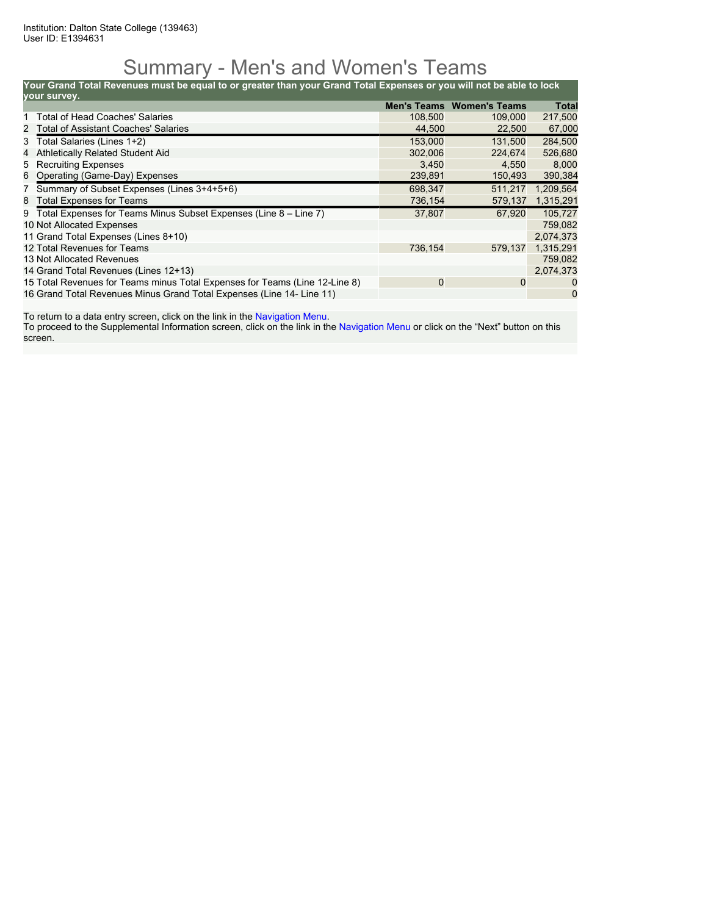### Summary - Men's and Women's Teams

**Your Grand Total Revenues must be equal to or greater than your Grand Total Expenses or you will not be able to lock**

| your survey.                                                                |             |                                  |              |
|-----------------------------------------------------------------------------|-------------|----------------------------------|--------------|
|                                                                             |             | <b>Men's Teams Women's Teams</b> | <b>Total</b> |
| 1 Total of Head Coaches' Salaries                                           | 108,500     | 109,000                          | 217,500      |
| 2 Total of Assistant Coaches' Salaries                                      | 44,500      | 22,500                           | 67,000       |
| 3 Total Salaries (Lines 1+2)                                                | 153,000     | 131.500                          | 284.500      |
| Athletically Related Student Aid<br>4                                       | 302,006     | 224.674                          | 526,680      |
| 5 Recruiting Expenses                                                       | 3,450       | 4,550                            | 8,000        |
| 6 Operating (Game-Day) Expenses                                             | 239,891     | 150,493                          | 390,384      |
| 7 Summary of Subset Expenses (Lines 3+4+5+6)                                | 698.347     | 511.217                          | 1,209,564    |
| 8 Total Expenses for Teams                                                  | 736,154     | 579,137                          | 1,315,291    |
| 9 Total Expenses for Teams Minus Subset Expenses (Line 8 – Line 7)          | 37,807      | 67.920                           | 105.727      |
| 10 Not Allocated Expenses                                                   |             |                                  | 759,082      |
| 11 Grand Total Expenses (Lines 8+10)                                        |             |                                  | 2,074,373    |
| 12 Total Revenues for Teams                                                 | 736,154     | 579.137                          | 1,315,291    |
| 13 Not Allocated Revenues                                                   |             |                                  | 759.082      |
| 14 Grand Total Revenues (Lines 12+13)                                       |             |                                  | 2,074,373    |
| 15 Total Revenues for Teams minus Total Expenses for Teams (Line 12-Line 8) | $\mathbf 0$ | 0                                | 0            |
| 16 Grand Total Revenues Minus Grand Total Expenses (Line 14- Line 11)       |             |                                  | $\mathbf 0$  |

To return to a data entry screen, click on the link in the Navigation Menu.

To proceed to the Supplemental Information screen, click on the link in the Navigation Menu or click on the "Next" button on this screen.